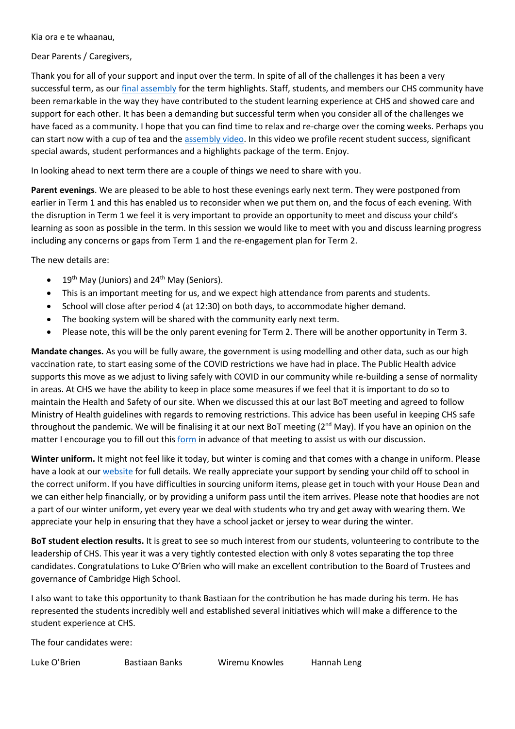Kia ora e te whaanau,

Dear Parents / Caregivers,

Thank you for all of your support and input over the term. In spite of all of the challenges it has been a very successful term, as ou[r final assembly](https://youtu.be/I3QO0txHzsY) for the term highlights. Staff, students, and members our CHS community have been remarkable in the way they have contributed to the student learning experience at CHS and showed care and support for each other. It has been a demanding but successful term when you consider all of the challenges we have faced as a community. I hope that you can find time to relax and re-charge over the coming weeks. Perhaps you can start now with a cup of tea and th[e assembly video.](https://youtu.be/I3QO0txHzsY) In this video we profile recent student success, significant special awards, student performances and a highlights package of the term. Enjoy.

In looking ahead to next term there are a couple of things we need to share with you.

**Parent evenings**. We are pleased to be able to host these evenings early next term. They were postponed from earlier in Term 1 and this has enabled us to reconsider when we put them on, and the focus of each evening. With the disruption in Term 1 we feel it is very important to provide an opportunity to meet and discuss your child's learning as soon as possible in the term. In this session we would like to meet with you and discuss learning progress including any concerns or gaps from Term 1 and the re-engagement plan for Term 2.

The new details are:

- 19<sup>th</sup> May (Juniors) and 24<sup>th</sup> May (Seniors).
- This is an important meeting for us, and we expect high attendance from parents and students.
- School will close after period 4 (at 12:30) on both days, to accommodate higher demand.
- The booking system will be shared with the community early next term.
- Please note, this will be the only parent evening for Term 2. There will be another opportunity in Term 3.

**Mandate changes.** As you will be fully aware, the government is using modelling and other data, such as our high vaccination rate, to start easing some of the COVID restrictions we have had in place. The Public Health advice supports this move as we adjust to living safely with COVID in our community while re-building a sense of normality in areas. At CHS we have the ability to keep in place some measures if we feel that it is important to do so to maintain the Health and Safety of our site. When we discussed this at our last BoT meeting and agreed to follow Ministry of Health guidelines with regards to removing restrictions. This advice has been useful in keeping CHS safe throughout the pandemic. We will be finalising it at our next BoT meeting  $(2^{nd}$  May). If you have an opinion on the matter I encourage you to fill out this [form](https://forms.office.com/Pages/ResponsePage.aspx?id=FdjiCi2Vike46bkZ2g6xchxisc3BTAVBg0lBhhQ10JZUNkMzM0dZOEY3QjVQV0s1TjNRRzBHR0kzRy4u) in advance of that meeting to assist us with our discussion.

**Winter uniform.** It might not feel like it today, but winter is coming and that comes with a change in uniform. Please have a look at ou[r website](https://www.camhigh.school.nz/uniform/) for full details. We really appreciate your support by sending your child off to school in the correct uniform. If you have difficulties in sourcing uniform items, please get in touch with your House Dean and we can either help financially, or by providing a uniform pass until the item arrives. Please note that hoodies are not a part of our winter uniform, yet every year we deal with students who try and get away with wearing them. We appreciate your help in ensuring that they have a school jacket or jersey to wear during the winter.

**BoT student election results.** It is great to see so much interest from our students, volunteering to contribute to the leadership of CHS. This year it was a very tightly contested election with only 8 votes separating the top three candidates. Congratulations to Luke O'Brien who will make an excellent contribution to the Board of Trustees and governance of Cambridge High School.

I also want to take this opportunity to thank Bastiaan for the contribution he has made during his term. He has represented the students incredibly well and established several initiatives which will make a difference to the student experience at CHS.

The four candidates were:

Luke O'Brien Bastiaan Banks Wiremu Knowles Hannah Leng